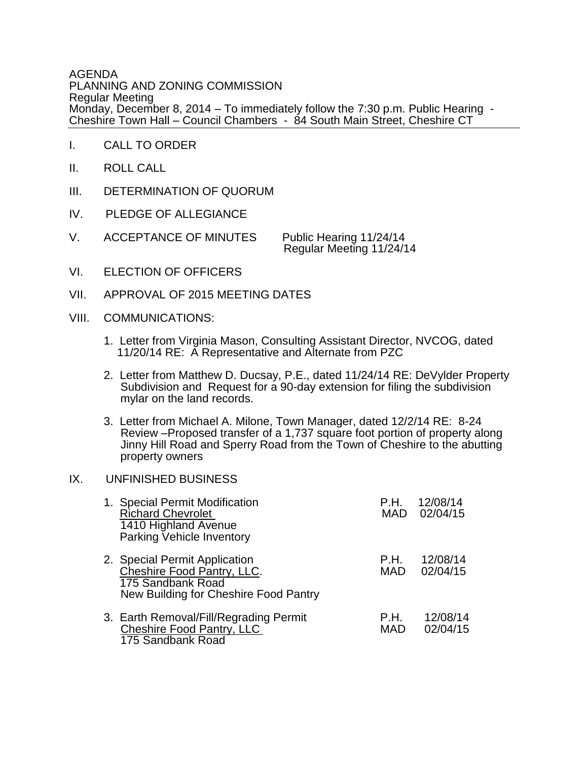AGENDA PLANNING AND ZONING COMMISSION Regular Meeting Monday, December 8, 2014 – To immediately follow the 7:30 p.m. Public Hearing - Cheshire Town Hall – Council Chambers - 84 South Main Street, Cheshire CT

- I. CALL TO ORDER
- II. ROLL CALL
- III. DETERMINATION OF QUORUM
- IV. PLEDGE OF ALLEGIANCE
- V. ACCEPTANCE OF MINUTES Public Hearing 11/24/14

Regular Meeting 11/24/14

- VI. ELECTION OF OFFICERS
- VII. APPROVAL OF 2015 MEETING DATES
- VIII. COMMUNICATIONS:
	- 1. Letter from Virginia Mason, Consulting Assistant Director, NVCOG, dated 11/20/14 RE: A Representative and Alternate from PZC
	- 2. Letter from Matthew D. Ducsay, P.E., dated 11/24/14 RE: DeVylder Property Subdivision and Request for a 90-day extension for filing the subdivision mylar on the land records.
	- 3. Letter from Michael A. Milone, Town Manager, dated 12/2/14 RE: 8-24 Review –Proposed transfer of a 1,737 square foot portion of property along Jinny Hill Road and Sperry Road from the Town of Cheshire to the abutting property owners

## IX. UNFINISHED BUSINESS

| 1. Special Permit Modification<br><b>Richard Chevrolet</b><br>1410 Highland Avenue<br>Parking Vehicle Inventory           | P.H.               | 12/08/14<br>MAD 02/04/15 |
|---------------------------------------------------------------------------------------------------------------------------|--------------------|--------------------------|
| 2. Special Permit Application<br>Cheshire Food Pantry, LLC.<br>175 Sandbank Road<br>New Building for Cheshire Food Pantry | P.H.<br><b>MAD</b> | 12/08/14<br>02/04/15     |
| 3. Earth Removal/Fill/Regrading Permit<br>Cheshire Food Pantry, LLC<br>175 Sandbank Road                                  | P.H.<br><b>MAD</b> | 12/08/14<br>02/04/15     |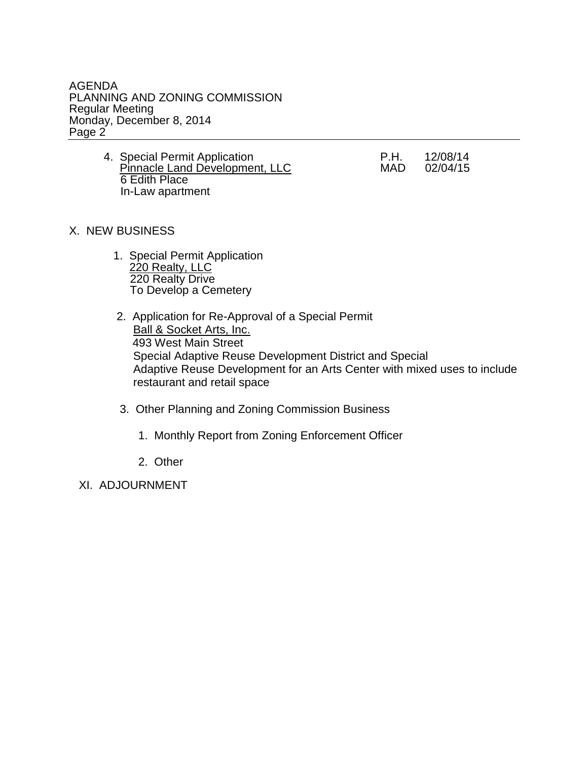AGENDA PLANNING AND ZONING COMMISSION Regular Meeting Monday, December 8, 2014 Page 2

> 4. Special Permit Application<br>
> P.H. 12/08/14<br>
> Pinnacle Land Development, LLC MAD 02/04/15 Pinnacle Land Development, LLC 6 Edith Place In-Law apartment

## X. NEW BUSINESS

- 1. Special Permit Application **220 Realty, LLC** 220 Realty Drive To Develop a Cemetery
	- 2. Application for Re-Approval of a Special Permit Ball & Socket Arts, Inc. 493 West Main Street Special Adaptive Reuse Development District and Special Adaptive Reuse Development for an Arts Center with mixed uses to include restaurant and retail space
	- 3. Other Planning and Zoning Commission Business
		- 1. Monthly Report from Zoning Enforcement Officer
		- 2. Other

XI. ADJOURNMENT